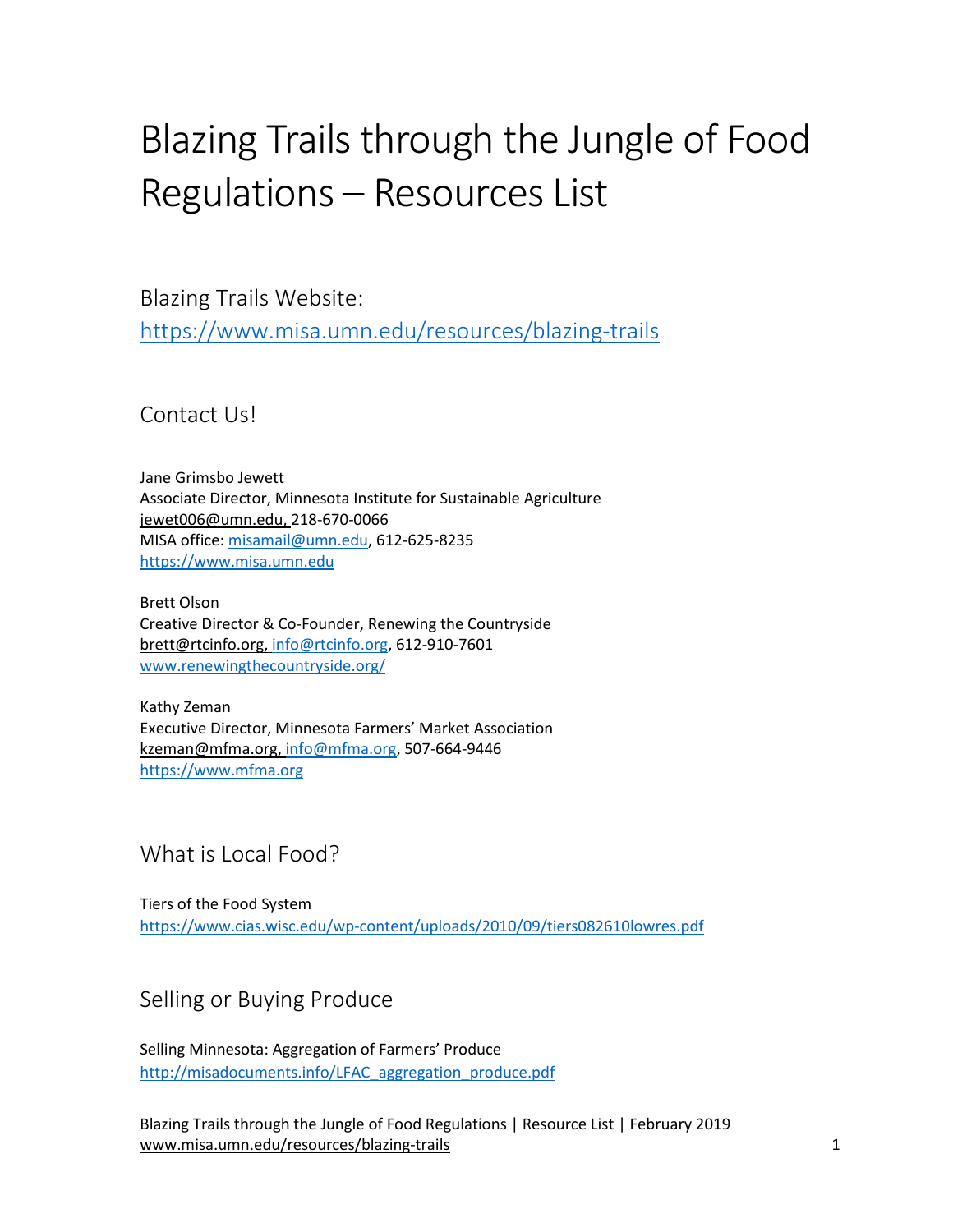# Blazing Trails through the Jungle of Food Regulations – Resources List

Blazing Trails Website: <https://www.misa.umn.edu/resources/blazing-trails>

Contact Us!

Jane Grimsbo Jewett Associate Director, Minnesota Institute for Sustainable Agriculture [jewet006@umn.edu,](mailto:jewet006@umn.edu) 218-670-0066 MISA office[: misamail@umn.edu,](mailto:misamail@umn.edu) 612-625-8235 [https://www.misa.umn.edu](https://www.misa.umn.edu/)

Brett Olson Creative Director & Co-Founder, Renewing the Countryside [brett@rtcinfo.org,](mailto:brett@rtcinfo.org) [info@rtcinfo.org,](mailto:info@rtcinfo.org) 612-910-7601 [www.renewingthecountryside.org/](http://www.renewingthecountryside.org/)

Kathy Zeman Executive Director, Minnesota Farmers' Market Association [kzeman@mfma.org,](mailto:kzeman@mfma.org) [info@mfma.org,](mailto:info@mfma.org) 507-664-9446 https:/[/www.mfma.org](http://www.mfma.org/)

# What is Local Food?

Tiers of the Food System <https://www.cias.wisc.edu/wp-content/uploads/2010/09/tiers082610lowres.pdf>

# Selling or Buying Produce

Selling Minnesota: Aggregation of Farmers' Produce [http://misadocuments.info/LFAC\\_aggregation\\_produce.pdf](http://misadocuments.info/LFAC_aggregation_produce.pdf)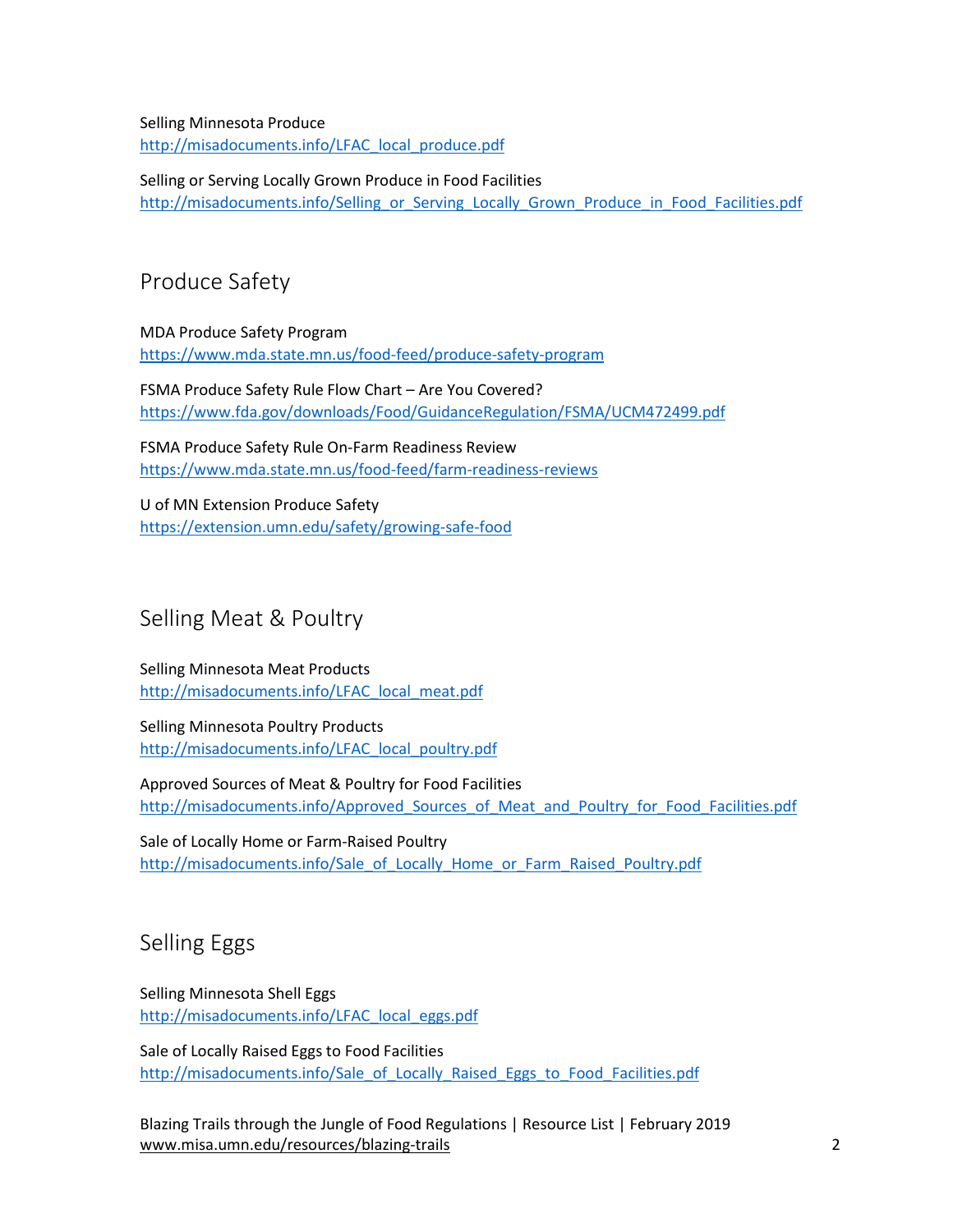Selling Minnesota Produce [http://misadocuments.info/LFAC\\_local\\_produce.pdf](http://misadocuments.info/LFAC_local_produce.pdf)

Selling or Serving Locally Grown Produce in Food Facilities http://misadocuments.info/Selling or Serving Locally Grown Produce in Food Facilities.pdf

## Produce Safety

MDA Produce Safety Program <https://www.mda.state.mn.us/food-feed/produce-safety-program>

FSMA Produce Safety Rule Flow Chart – Are You Covered? <https://www.fda.gov/downloads/Food/GuidanceRegulation/FSMA/UCM472499.pdf>

FSMA Produce Safety Rule On-Farm Readiness Review <https://www.mda.state.mn.us/food-feed/farm-readiness-reviews>

U of MN Extension Produce Safety <https://extension.umn.edu/safety/growing-safe-food>

## Selling Meat & Poultry

Selling Minnesota Meat Products [http://misadocuments.info/LFAC\\_local\\_meat.pdf](http://misadocuments.info/LFAC_local_meat.pdf)

Selling Minnesota Poultry Products [http://misadocuments.info/LFAC\\_local\\_poultry.pdf](http://misadocuments.info/LFAC_local_poultry.pdf)

Approved Sources of Meat & Poultry for Food Facilities http://misadocuments.info/Approved Sources of Meat and Poultry for Food Facilities.pdf

Sale of Locally Home or Farm-Raised Poultry [http://misadocuments.info/Sale\\_of\\_Locally\\_Home\\_or\\_Farm\\_Raised\\_Poultry.pdf](http://misadocuments.info/Sale_of_Locally_Home_or_Farm_Raised_Poultry.pdf)

# Selling Eggs

Selling Minnesota Shell Eggs [http://misadocuments.info/LFAC\\_local\\_eggs.pdf](http://misadocuments.info/LFAC_local_eggs.pdf)

Sale of Locally Raised Eggs to Food Facilities [http://misadocuments.info/Sale\\_of\\_Locally\\_Raised\\_Eggs\\_to\\_Food\\_Facilities.pdf](http://misadocuments.info/Sale_of_Locally_Raised_Eggs_to_Food_Facilities.pdf)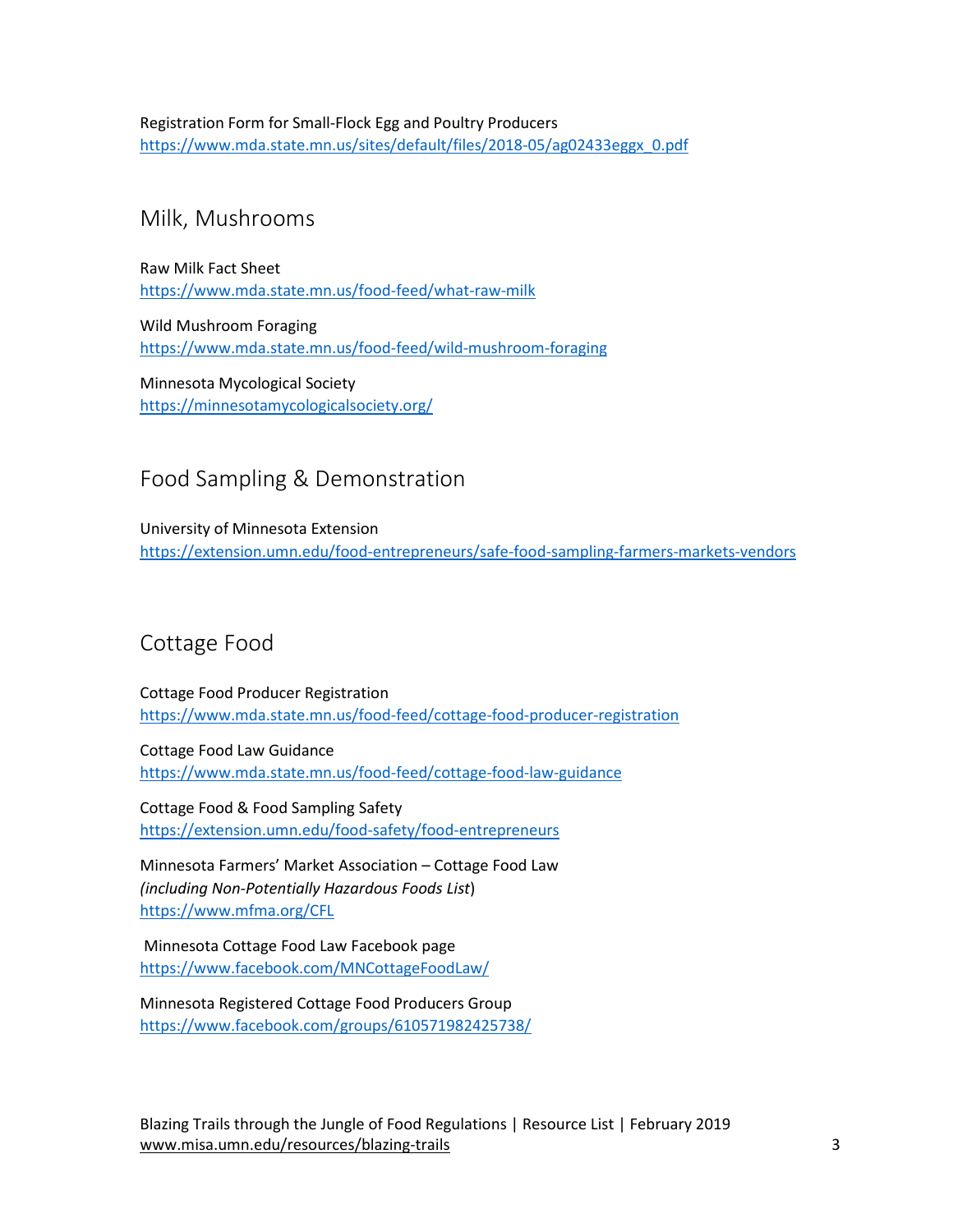Registration Form for Small-Flock Egg and Poultry Producers [https://www.mda.state.mn.us/sites/default/files/2018-05/ag02433eggx\\_0.pdf](https://www.mda.state.mn.us/sites/default/files/2018-05/ag02433eggx_0.pdf)

### Milk, Mushrooms

Raw Milk Fact Sheet <https://www.mda.state.mn.us/food-feed/what-raw-milk>

Wild Mushroom Foraging <https://www.mda.state.mn.us/food-feed/wild-mushroom-foraging>

Minnesota Mycological Society <https://minnesotamycologicalsociety.org/>

## Food Sampling & Demonstration

University of Minnesota Extension <https://extension.umn.edu/food-entrepreneurs/safe-food-sampling-farmers-markets-vendors>

# Cottage Food

Cottage Food Producer Registration <https://www.mda.state.mn.us/food-feed/cottage-food-producer-registration>

Cottage Food Law Guidance <https://www.mda.state.mn.us/food-feed/cottage-food-law-guidance>

Cottage Food & Food Sampling Safety <https://extension.umn.edu/food-safety/food-entrepreneurs>

Minnesota Farmers' Market Association – Cottage Food Law *(including Non-Potentially Hazardous Foods List*) <https://www.mfma.org/CFL>

Minnesota Cottage Food Law Facebook page <https://www.facebook.com/MNCottageFoodLaw/>

Minnesota Registered Cottage Food Producers Group <https://www.facebook.com/groups/610571982425738/>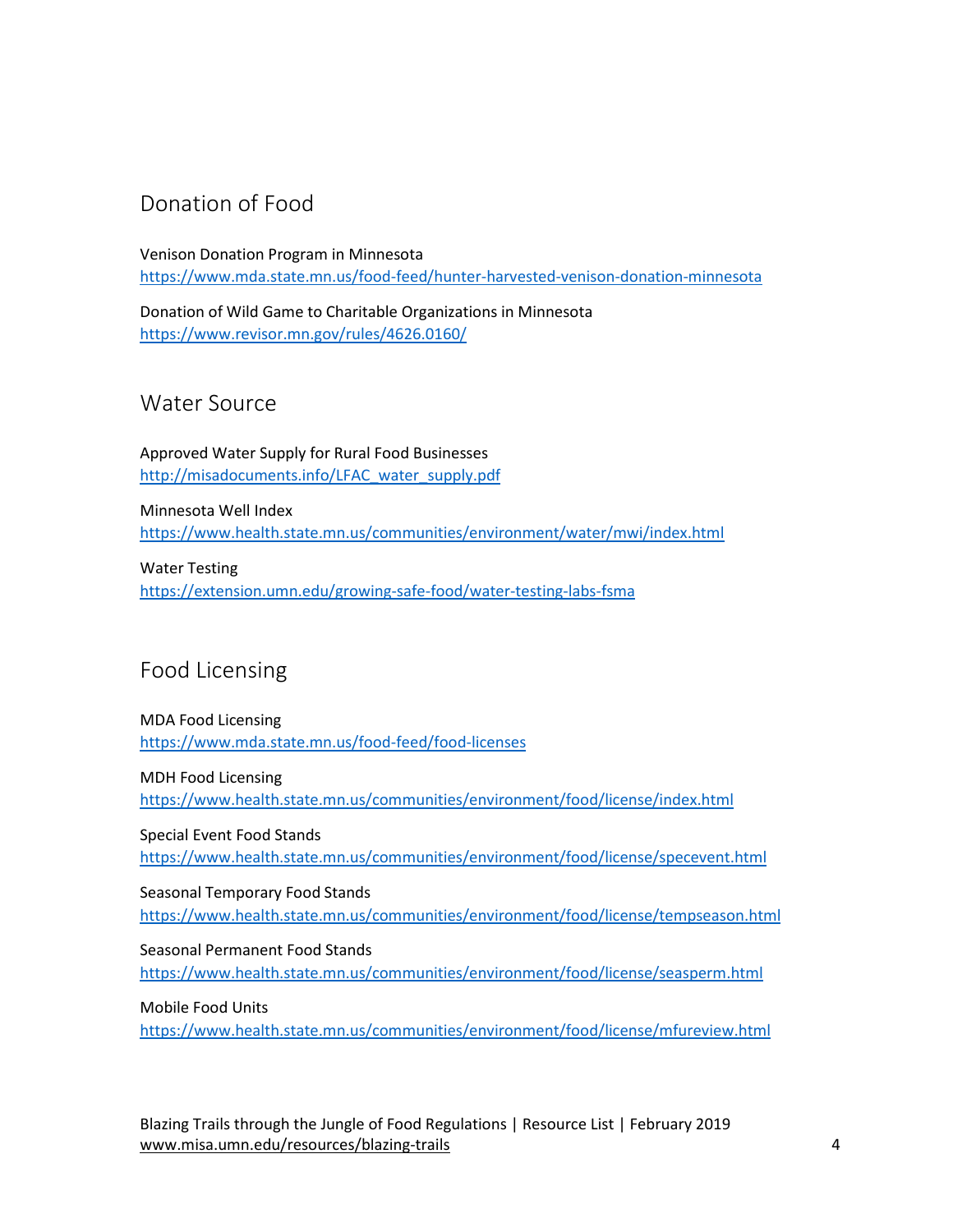# Donation of Food

Venison Donation Program in Minnesota <https://www.mda.state.mn.us/food-feed/hunter-harvested-venison-donation-minnesota>

Donation of Wild Game to Charitable Organizations in Minnesota <https://www.revisor.mn.gov/rules/4626.0160/>

Water Source

Approved Water Supply for Rural Food Businesses [http://misadocuments.info/LFAC\\_water\\_supply.pdf](http://misadocuments.info/LFAC_water_supply.pdf)

Minnesota Well Index <https://www.health.state.mn.us/communities/environment/water/mwi/index.html>

Water Testing <https://extension.umn.edu/growing-safe-food/water-testing-labs-fsma>

# Food Licensing

MDA Food Licensing <https://www.mda.state.mn.us/food-feed/food-licenses>

MDH Food Licensing <https://www.health.state.mn.us/communities/environment/food/license/index.html>

Special Event Food Stands <https://www.health.state.mn.us/communities/environment/food/license/specevent.html>

Seasonal Temporary Food Stands <https://www.health.state.mn.us/communities/environment/food/license/tempseason.html>

Seasonal Permanent Food Stands <https://www.health.state.mn.us/communities/environment/food/license/seasperm.html>

Mobile Food Units

<https://www.health.state.mn.us/communities/environment/food/license/mfureview.html>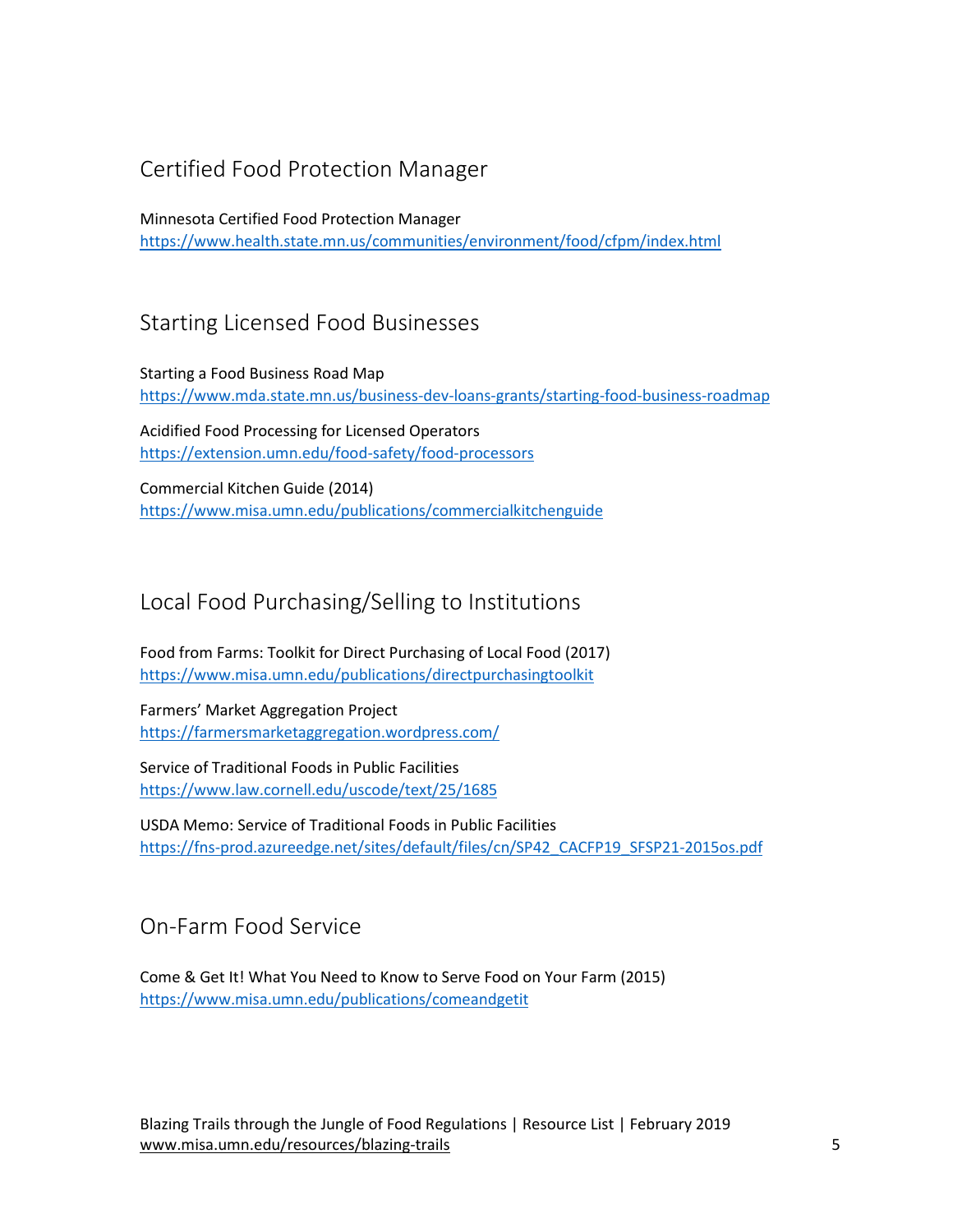# Certified Food Protection Manager

Minnesota Certified Food Protection Manager <https://www.health.state.mn.us/communities/environment/food/cfpm/index.html>

# Starting Licensed Food Businesses

Starting a Food Business Road Map <https://www.mda.state.mn.us/business-dev-loans-grants/starting-food-business-roadmap>

Acidified Food Processing for Licensed Operators <https://extension.umn.edu/food-safety/food-processors>

Commercial Kitchen Guide (2014) <https://www.misa.umn.edu/publications/commercialkitchenguide>

## Local Food Purchasing/Selling to Institutions

Food from Farms: Toolkit for Direct Purchasing of Local Food (2017) <https://www.misa.umn.edu/publications/directpurchasingtoolkit>

Farmers' Market Aggregation Project <https://farmersmarketaggregation.wordpress.com/>

Service of Traditional Foods in Public Facilities <https://www.law.cornell.edu/uscode/text/25/1685>

USDA Memo: Service of Traditional Foods in Public Facilities [https://fns-prod.azureedge.net/sites/default/files/cn/SP42\\_CACFP19\\_SFSP21-2015os.pdf](https://fns-prod.azureedge.net/sites/default/files/cn/SP42_CACFP19_SFSP21-2015os.pdf)

On-Farm Food Service

Come & Get It! What You Need to Know to Serve Food on Your Farm (2015) <https://www.misa.umn.edu/publications/comeandgetit>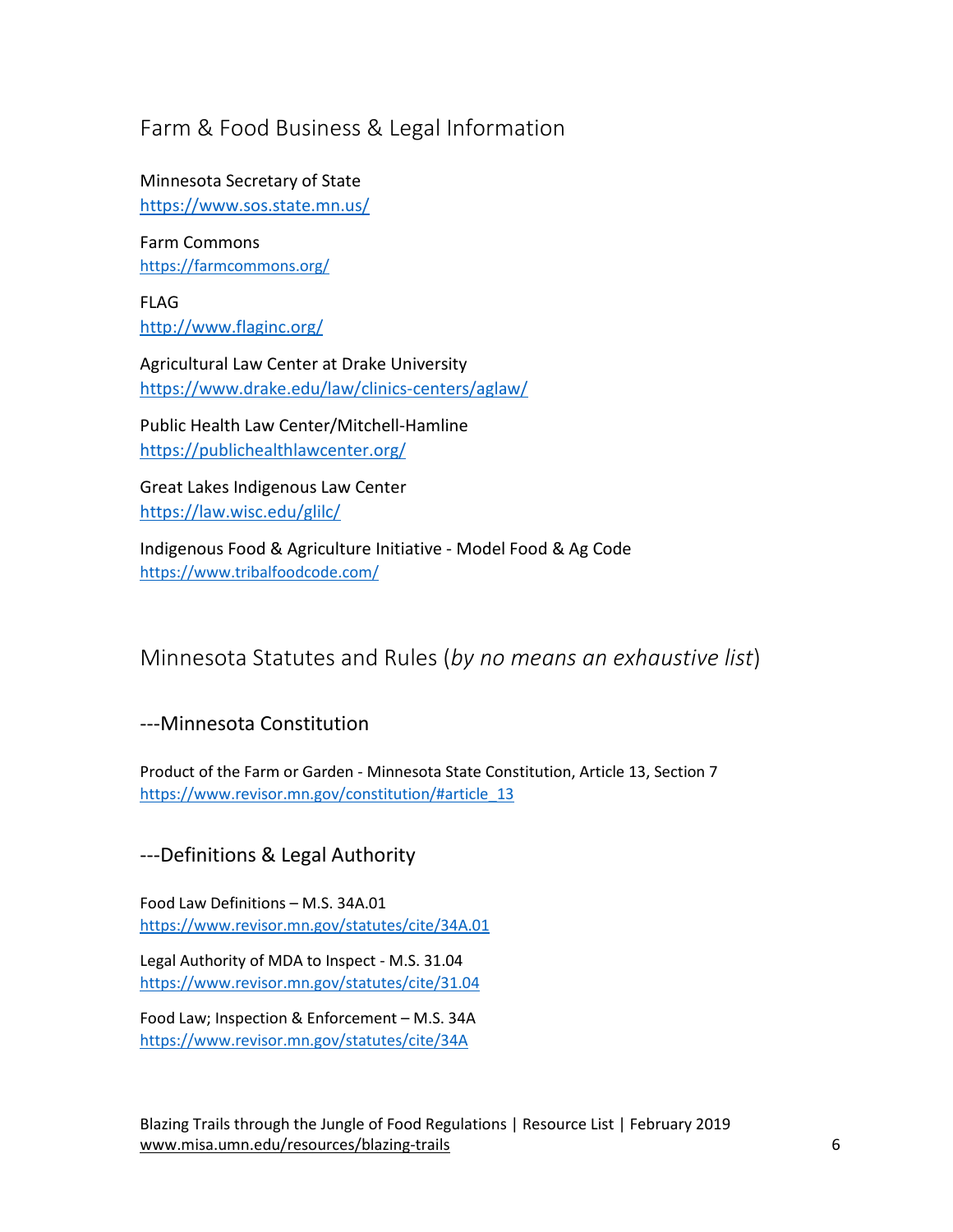# Farm & Food Business & Legal Information

Minnesota Secretary of State <https://www.sos.state.mn.us/>

Farm Commons <https://farmcommons.org/>

FLAG <http://www.flaginc.org/>

Agricultural Law Center at Drake University <https://www.drake.edu/law/clinics-centers/aglaw/>

Public Health Law Center/Mitchell-Hamline <https://publichealthlawcenter.org/>

Great Lakes Indigenous Law Center <https://law.wisc.edu/glilc/>

Indigenous Food & Agriculture Initiative - Model Food & Ag Code <https://www.tribalfoodcode.com/>

# Minnesota Statutes and Rules (*by no means an exhaustive list*)

#### ---Minnesota Constitution

Product of the Farm or Garden - Minnesota State Constitution, Article 13, Section 7 [https://www.revisor.mn.gov/constitution/#article\\_13](https://www.revisor.mn.gov/constitution/#article_13)

---Definitions & Legal Authority

Food Law Definitions – M.S. 34A.01 <https://www.revisor.mn.gov/statutes/cite/34A.01>

Legal Authority of MDA to Inspect - M.S. 31.04 <https://www.revisor.mn.gov/statutes/cite/31.04>

Food Law; Inspection & Enforcement – M.S. 34A <https://www.revisor.mn.gov/statutes/cite/34A>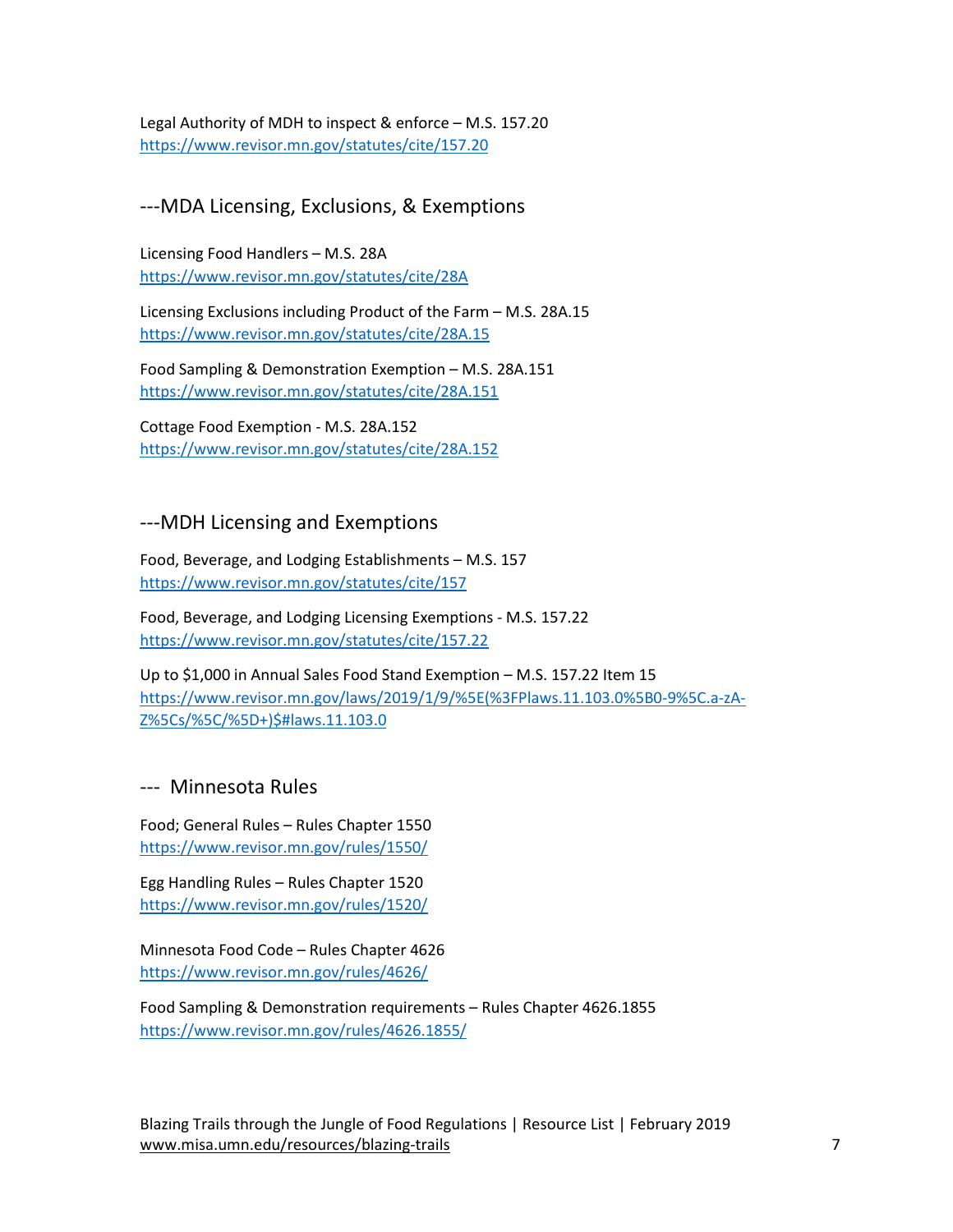Legal Authority of MDH to inspect & enforce – M.S. 157.20 <https://www.revisor.mn.gov/statutes/cite/157.20>

#### ---MDA Licensing, Exclusions, & Exemptions

Licensing Food Handlers – M.S. 28A <https://www.revisor.mn.gov/statutes/cite/28A>

Licensing Exclusions including Product of the Farm – M.S. 28A.15 <https://www.revisor.mn.gov/statutes/cite/28A.15>

Food Sampling & Demonstration Exemption – M.S. 28A.151 <https://www.revisor.mn.gov/statutes/cite/28A.151>

Cottage Food Exemption - M.S. 28A.152 <https://www.revisor.mn.gov/statutes/cite/28A.152>

#### ---MDH Licensing and Exemptions

Food, Beverage, and Lodging Establishments – M.S. 157 <https://www.revisor.mn.gov/statutes/cite/157>

Food, Beverage, and Lodging Licensing Exemptions - M.S. 157.22 <https://www.revisor.mn.gov/statutes/cite/157.22>

Up to \$1,000 in Annual Sales Food Stand Exemption – M.S. 157.22 Item 15 [https://www.revisor.mn.gov/laws/2019/1/9/%5E\(%3FPlaws.11.103.0%5B0-9%5C.a-zA-](https://www.revisor.mn.gov/laws/2019/1/9/%5E(%3FPlaws.11.103.0%5B0-9%5C.a-zA-Z%5Cs/%5C/%5D+)$#laws.11.103.0)[Z%5Cs/%5C/%5D+\)\\$#laws.11.103.0](https://www.revisor.mn.gov/laws/2019/1/9/%5E(%3FPlaws.11.103.0%5B0-9%5C.a-zA-Z%5Cs/%5C/%5D+)$#laws.11.103.0)

#### --- Minnesota Rules

Food; General Rules – Rules Chapter 1550 <https://www.revisor.mn.gov/rules/1550/>

Egg Handling Rules – Rules Chapter 1520 <https://www.revisor.mn.gov/rules/1520/>

Minnesota Food Code – Rules Chapter 4626 <https://www.revisor.mn.gov/rules/4626/>

Food Sampling & Demonstration requirements – Rules Chapter 4626.1855 <https://www.revisor.mn.gov/rules/4626.1855/>